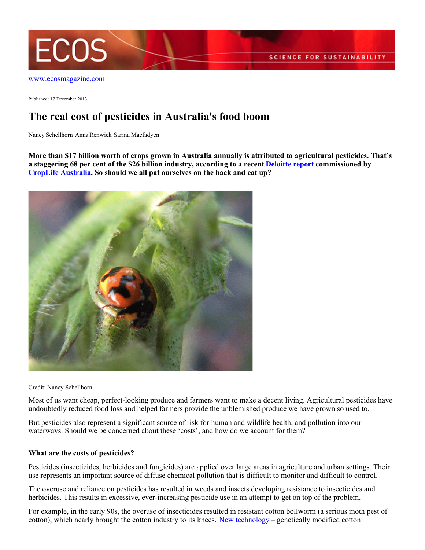

Published: 17 December 2013

## **The real cost of pesticides in Australia's food boom**

Nancy Schellhorn Anna Renwick Sarina Macfadyen

**More than \$17 billion worth of crops grown in Australia annually is attributed to agricultural pesticides. That's a staggering 68 per cent of the \$26 billion industry, according to a recent [Deloitte report](http://www.theaustralian.com.au/news/nation/chemicals-underpin-food-boom/story-e6frg6nf-1226764801045) commissioned by [CropLife Australia](http://www.croplifeaustralia.org.au). So should we all pat ourselves on the back and eat up?**



Credit: Nancy Schellhorn

Most of us want cheap, perfect-looking produce and farmers want to make a decent living. Agricultural pesticides have undoubtedly reduced food loss and helped farmers provide the unblemished produce we have grown so used to.

But pesticides also represent a significant source of risk for human and wildlife health, and pollution into our waterways. Should we be concerned about these 'costs', and how do we account for them?

## **What are the costs of pesticides?**

Pesticides (insecticides, herbicides and fungicides) are applied over large areas in agriculture and urban settings. Their use represents an important source of diffuse chemical pollution that is difficult to monitor and difficult to control.

The overuse and reliance on pesticides has resulted in weeds and insects developing resistance to insecticides and herbicides. This results in excessive, ever-increasing pesticide use in an attempt to get on top of the problem.

For example, in the early 90s, the overuse of insecticides resulted in resistant cotton bollworm (a serious moth pest of cotton), which nearly brought the cotton industry to its knees. [New technology](https://theconversation.com/worm-turns-for-cotton-pest-as-australia-breeds-in-resistance-15457) – genetically modified cotton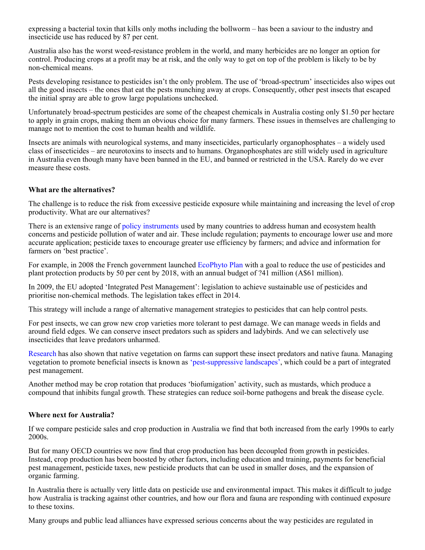expressing a bacterial toxin that kills only moths including the bollworm – has been a saviour to the industry and insecticide use has reduced by 87 per cent.

Australia also has the worst weed-resistance problem in the world, and many herbicides are no longer an option for control. Producing crops at a profit may be at risk, and the only way to get on top of the problem is likely to be by non-chemical means.

Pests developing resistance to pesticides isn't the only problem. The use of 'broad-spectrum' insecticides also wipes out all the good insects – the ones that eat the pests munching away at crops. Consequently, other pest insects that escaped the initial spray are able to grow large populations unchecked.

Unfortunately broad-spectrum pesticides are some of the cheapest chemicals in Australia costing only \$1.50 per hectare to apply in grain crops, making them an obvious choice for many farmers. These issues in themselves are challenging to manage not to mention the cost to human health and wildlife.

Insects are animals with neurological systems, and many insecticides, particularly organophosphates – a widely used class of insecticides – are neurotoxins to insects and to humans. Organophosphates are still widely used in agriculture in Australia even though many have been banned in the EU, and banned or restricted in the USA. Rarely do we ever measure these costs.

## **What are the alternatives?**

The challenge is to reduce the risk from excessive pesticide exposure while maintaining and increasing the level of crop productivity. What are our alternatives?

There is an extensive range of [policy instruments](http://www.oecd-ilibrary.org/agriculture-and-food/oecd-compendium-of-agri-environmental-indicators) used by many countries to address human and ecosystem health concerns and pesticide pollution of water and air. These include regulation; payments to encourage lower use and more accurate application; pesticide taxes to encourage greater use efficiency by farmers; and advice and information for farmers on 'best practice'.

For example, in 2008 the French government launched [EcoPhyto Plan](http://agriculture.gouv.fr/Ecophyto-in-English-1571) with a goal to reduce the use of pesticides and plant protection products by 50 per cent by 2018, with an annual budget of ?41 million (A\$61 million).

In 2009, the EU adopted 'Integrated Pest Management': legislation to achieve sustainable use of pesticides and prioritise non-chemical methods. The legislation takes effect in 2014.

This strategy will include a range of alternative management strategies to pesticides that can help control pests.

For pest insects, we can grow new crop varieties more tolerant to pest damage. We can manage weeds in fields and around field edges. We can conserve insect predators such as spiders and ladybirds. And we can selectively use insecticides that leave predators unharmed.

[Research](http://www.ecosmagazine.com/?paper=EC13013) has also shown that native vegetation on farms can support these insect predators and native fauna. Managing vegetation to promote beneficial insects is known as ['pest-suppressive landscapes'](http://www.nipi.com.au/research/pest-suppressive-landscapes), which could be a part of integrated pest management.

Another method may be crop rotation that produces 'biofumigation' activity, such as mustards, which produce a compound that inhibits fungal growth. These strategies can reduce soil-borne pathogens and break the disease cycle.

## **Where next for Australia?**

If we compare pesticide sales and crop production in Australia we find that both increased from the early 1990s to early 2000s.

But for many OECD countries we now find that crop production has been decoupled from growth in pesticides. Instead, crop production has been boosted by other factors, including education and training, payments for beneficial pest management, pesticide taxes, new pesticide products that can be used in smaller doses, and the expansion of organic farming.

In Australia there is actually very little data on pesticide use and environmental impact. This makes it difficult to judge how Australia is tracking against other countries, and how our flora and fauna are responding with continued exposure to these toxins.

Many groups and public lead alliances have expressed serious concerns about the way pesticides are regulated in